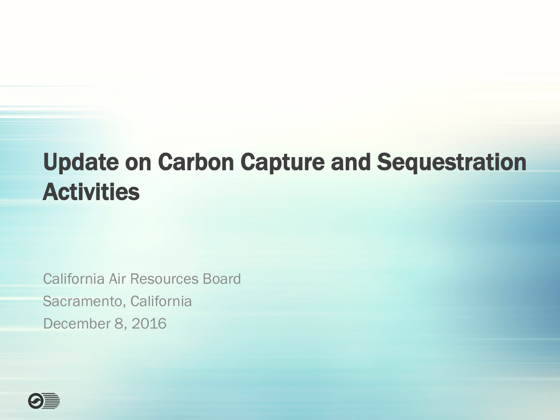#### Update on Carbon Capture and Sequestration Activities

California Air Resources Board Sacramento, California December 8, 2016

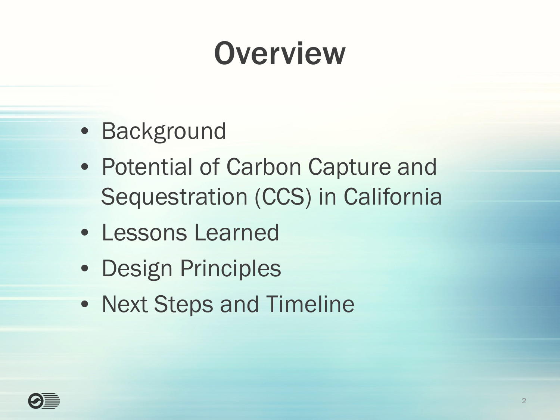## **Overview**

- Background
- Potential of Carbon Capture and Sequestration (CCS) in California
- Lessons Learned
- Design Principles
- Next Steps and Timeline

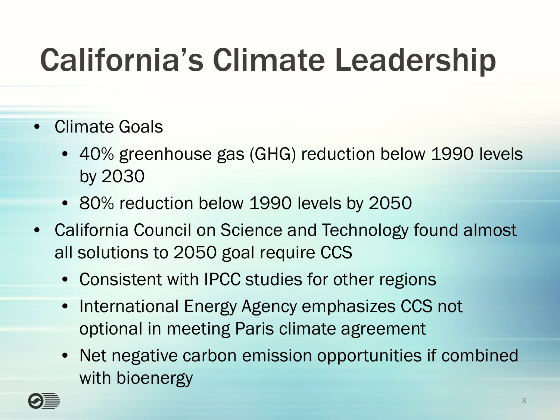# California's Climate Leadership

- Climate Goals
	- 40% greenhouse gas (GHG) reduction below 1990 levels by 2030
	- 80% reduction below 1990 levels by 2050
- California Council on Science and Technology found almost all solutions to 2050 goal require CCS
	- Consistent with IPCC studies for other regions
	- International Energy Agency emphasizes CCS not optional in meeting Paris climate agreement
	- Net negative carbon emission opportunities if combined with bioenergy

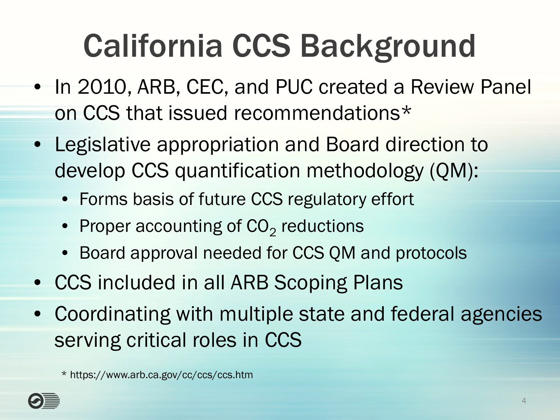# California CCS Background

- In 2010, ARB, CEC, and PUC created a Review Panel on CCS that issued recommendations\*
- Legislative appropriation and Board direction to develop CCS quantification methodology (QM):
	- Forms basis of future CCS regulatory effort
	- Proper accounting of  $CO<sub>2</sub>$  reductions
	- Board approval needed for CCS QM and protocols
- CCS included in all ARB Scoping Plans
- Coordinating with multiple state and federal agencies serving critical roles in CCS

\* https://www.arb.ca.gov/cc/ccs/ccs.htm

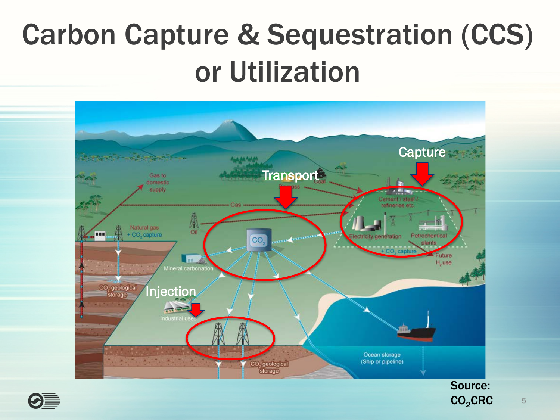#### Carbon Capture & Sequestration (CCS) or Utilization



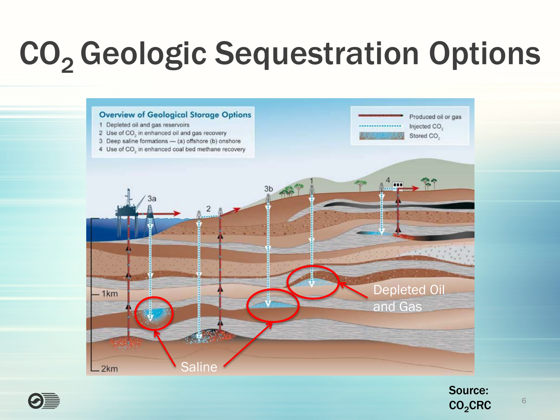# CO<sub>2</sub> Geologic Sequestration Options





Source:  $CO<sub>2</sub>$ CRC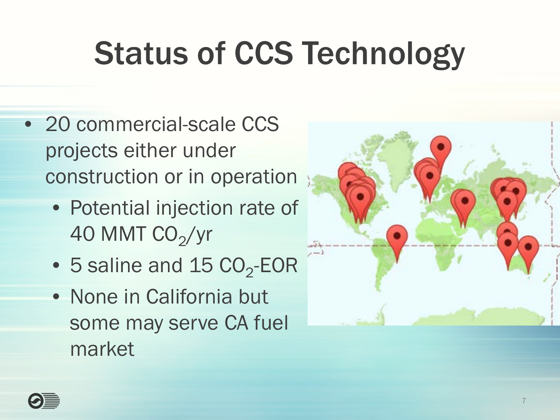# Status of CCS Technology

- 20 commercial-scale CCS projects either under construction or in operation
	- Potential injection rate of 40 MMT  $CO<sub>2</sub>/yr$
	- $\bullet$  5 saline and 15 CO<sub>2</sub>-EOR
	- None in California but some may serve CA fuel market



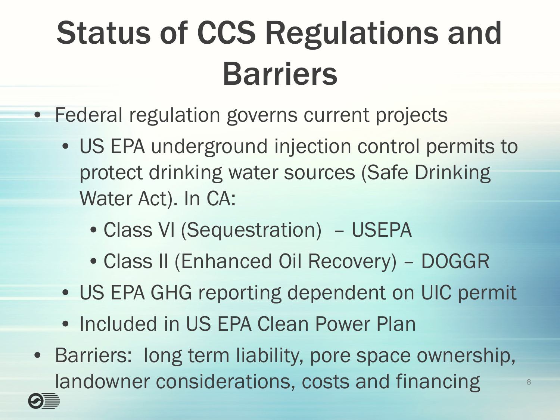# Status of CCS Regulations and Barriers

- Federal regulation governs current projects
	- US EPA underground injection control permits to protect drinking water sources (Safe Drinking Water Act). In CA:
		- Class VI (Sequestration) USEPA
		- Class II (Enhanced Oil Recovery) DOGGR
	- US EPA GHG reporting dependent on UIC permit
	- Included in US EPA Clean Power Plan
- Barriers: long term liability, pore space ownership, landowner considerations, costs and financing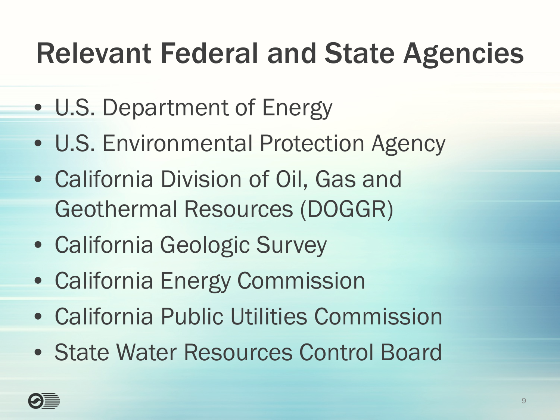#### Relevant Federal and State Agencies

- U.S. Department of Energy
- U.S. Environmental Protection Agency
- California Division of Oil, Gas and Geothermal Resources (DOGGR)
- California Geologic Survey
- California Energy Commission
- California Public Utilities Commission
- State Water Resources Control Board

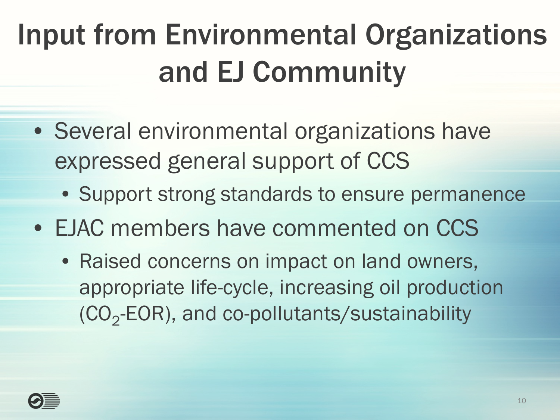#### Input from Environmental Organizations and EJ Community

- Several environmental organizations have expressed general support of CCS
	- Support strong standards to ensure permanence
- EJAC members have commented on CCS
	- Raised concerns on impact on land owners, appropriate life-cycle, increasing oil production  $(CO<sub>2</sub>-EOR)$ , and co-pollutants/sustainability

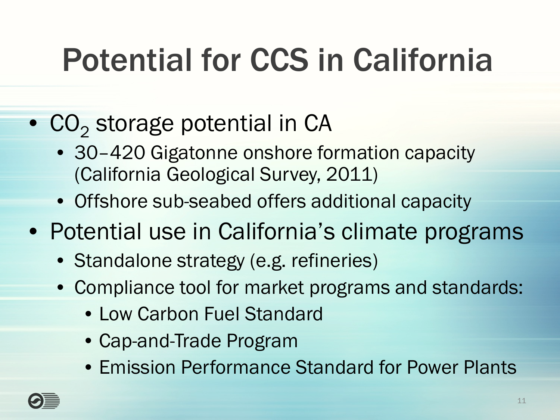# Potential for CCS in California

- $CO<sub>2</sub>$  storage potential in CA
	- 30-420 Gigatonne onshore formation capacity (California Geological Survey, 2011)
	- Offshore sub-seabed offers additional capacity
- Potential use in California's climate programs
	- Standalone strategy (e.g. refineries)
	- Compliance tool for market programs and standards:
		- Low Carbon Fuel Standard
		- Cap-and-Trade Program
		- Emission Performance Standard for Power Plants

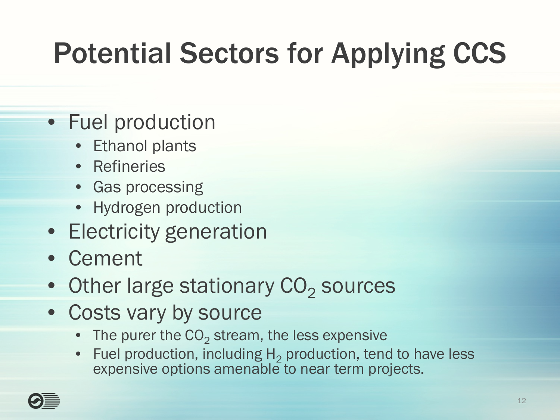#### Potential Sectors for Applying CCS

- Fuel production
	- **Ethanol plants**
	- Refineries
	- Gas processing
	- Hydrogen production
- Electricity generation
- Cement
- $\bullet$  Other large stationary  $CO<sub>2</sub>$  sources
- Costs vary by source
	- The purer the  $CO<sub>2</sub>$  stream, the less expensive
	- Fuel production, including  $H_2$  production, tend to have less expensive options amenable to near term projects.

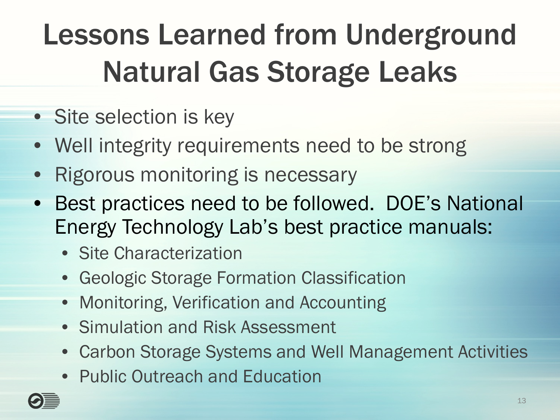#### Lessons Learned from Underground Natural Gas Storage Leaks

- Site selection is key
- Well integrity requirements need to be strong
- Rigorous monitoring is necessary
- Best practices need to be followed. DOE's National Energy Technology Lab's best practice manuals:
	- Site Characterization
	- Geologic Storage Formation Classification
	- Monitoring, Verification and Accounting
	- Simulation and Risk Assessment
	- Carbon Storage Systems and Well Management Activities
	- Public Outreach and Education

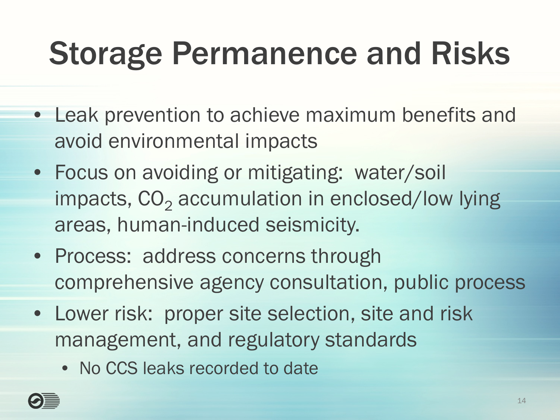# Storage Permanence and Risks

- Leak prevention to achieve maximum benefits and avoid environmental impacts
- Focus on avoiding or mitigating: water/soil impacts,  $CO<sub>2</sub>$  accumulation in enclosed/low lying areas, human-induced seismicity.
- Process: address concerns through comprehensive agency consultation, public process
- Lower risk: proper site selection, site and risk management, and regulatory standards
	- No CCS leaks recorded to date

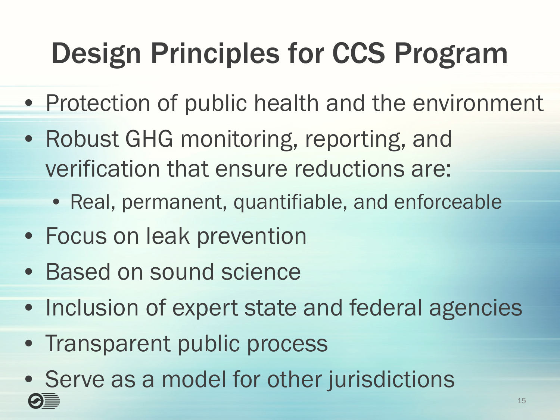#### Design Principles for CCS Program

- Protection of public health and the environment
- Robust GHG monitoring, reporting, and verification that ensure reductions are:
	- Real, permanent, quantifiable, and enforceable
- Focus on leak prevention
- Based on sound science
- Inclusion of expert state and federal agencies
- Transparent public process
- Serve as a model for other jurisdictions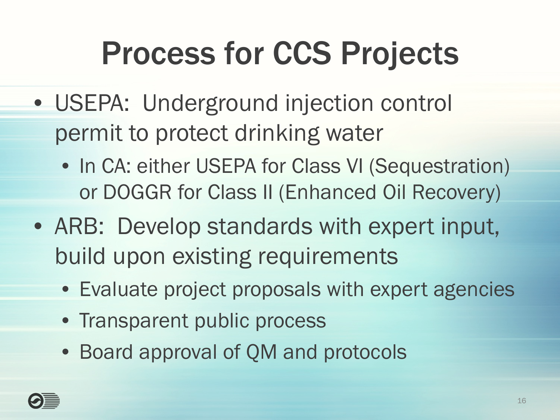# Process for CCS Projects

- USEPA: Underground injection control permit to protect drinking water
	- In CA: either USEPA for Class VI (Sequestration) or DOGGR for Class II (Enhanced Oil Recovery)
- ARB: Develop standards with expert input, build upon existing requirements
	- Evaluate project proposals with expert agencies
	- Transparent public process
	- Board approval of QM and protocols

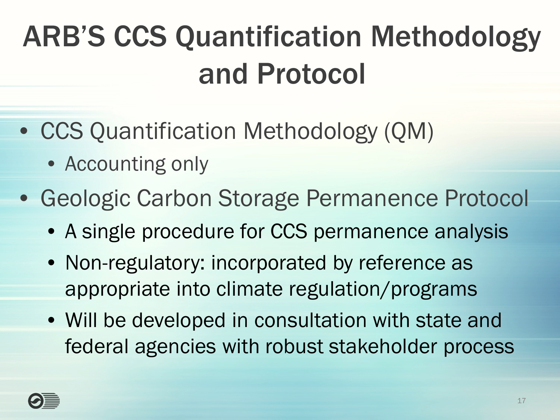#### ARB'S CCS Quantification Methodology and Protocol

- CCS Quantification Methodology (QM)
	- Accounting only
- Geologic Carbon Storage Permanence Protocol
	- A single procedure for CCS permanence analysis
	- Non-regulatory: incorporated by reference as appropriate into climate regulation/programs
	- Will be developed in consultation with state and federal agencies with robust stakeholder process

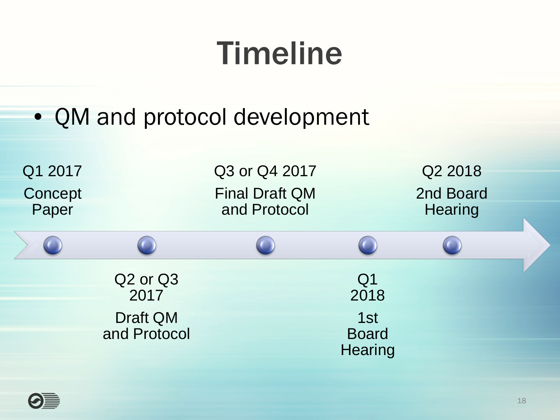# Timeline

• QM and protocol development